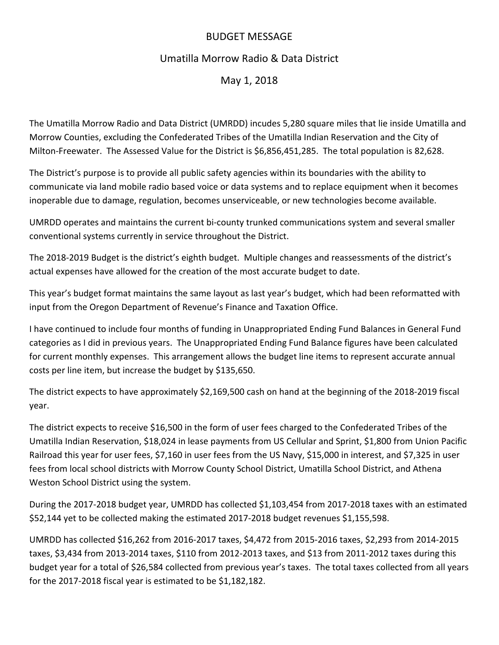## BUDGET MESSAGE

## Umatilla Morrow Radio & Data District

May 1, 2018

The Umatilla Morrow Radio and Data District (UMRDD) incudes 5,280 square miles that lie inside Umatilla and Morrow Counties, excluding the Confederated Tribes of the Umatilla Indian Reservation and the City of Milton‐Freewater. The Assessed Value for the District is \$6,856,451,285. The total population is 82,628.

The District's purpose is to provide all public safety agencies within its boundaries with the ability to communicate via land mobile radio based voice or data systems and to replace equipment when it becomes inoperable due to damage, regulation, becomes unserviceable, or new technologies become available.

UMRDD operates and maintains the current bi‐county trunked communications system and several smaller conventional systems currently in service throughout the District.

The 2018‐2019 Budget is the district's eighth budget. Multiple changes and reassessments of the district's actual expenses have allowed for the creation of the most accurate budget to date.

This year's budget format maintains the same layout as last year's budget, which had been reformatted with input from the Oregon Department of Revenue's Finance and Taxation Office.

I have continued to include four months of funding in Unappropriated Ending Fund Balances in General Fund categories as I did in previous years. The Unappropriated Ending Fund Balance figures have been calculated for current monthly expenses. This arrangement allows the budget line items to represent accurate annual costs per line item, but increase the budget by \$135,650.

The district expects to have approximately \$2,169,500 cash on hand at the beginning of the 2018‐2019 fiscal year.

The district expects to receive \$16,500 in the form of user fees charged to the Confederated Tribes of the Umatilla Indian Reservation, \$18,024 in lease payments from US Cellular and Sprint, \$1,800 from Union Pacific Railroad this year for user fees, \$7,160 in user fees from the US Navy, \$15,000 in interest, and \$7,325 in user fees from local school districts with Morrow County School District, Umatilla School District, and Athena Weston School District using the system.

During the 2017‐2018 budget year, UMRDD has collected \$1,103,454 from 2017‐2018 taxes with an estimated \$52,144 yet to be collected making the estimated 2017‐2018 budget revenues \$1,155,598.

UMRDD has collected \$16,262 from 2016‐2017 taxes, \$4,472 from 2015‐2016 taxes, \$2,293 from 2014‐2015 taxes, \$3,434 from 2013‐2014 taxes, \$110 from 2012‐2013 taxes, and \$13 from 2011‐2012 taxes during this budget year for a total of \$26,584 collected from previous year's taxes. The total taxes collected from all years for the 2017-2018 fiscal year is estimated to be \$1,182,182.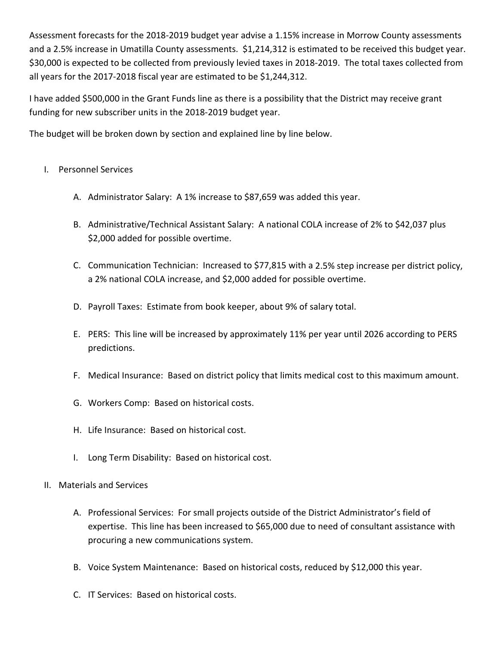Assessment forecasts for the 2018‐2019 budget year advise a 1.15% increase in Morrow County assessments and a 2.5% increase in Umatilla County assessments. \$1,214,312 is estimated to be received this budget year. \$30,000 is expected to be collected from previously levied taxes in 2018‐2019. The total taxes collected from all years for the 2017‐2018 fiscal year are estimated to be \$1,244,312.

I have added \$500,000 in the Grant Funds line as there is a possibility that the District may receive grant funding for new subscriber units in the 2018‐2019 budget year.

The budget will be broken down by section and explained line by line below.

- I. Personnel Services
	- A. Administrator Salary: A 1% increase to \$87,659 was added this year.
	- B. Administrative/Technical Assistant Salary: A national COLA increase of 2% to \$42,037 plus \$2,000 added for possible overtime.
	- C. Communication Technician: Increased to \$77,815 with a 2.5% step increase per district policy, a 2% national COLA increase, and \$2,000 added for possible overtime.
	- D. Payroll Taxes: Estimate from book keeper, about 9% of salary total.
	- E. PERS: This line will be increased by approximately 11% per year until 2026 according to PERS predictions.
	- F. Medical Insurance: Based on district policy that limits medical cost to this maximum amount.
	- G. Workers Comp: Based on historical costs.
	- H. Life Insurance: Based on historical cost.
	- I. Long Term Disability: Based on historical cost.
- II. Materials and Services
	- A. Professional Services: For small projects outside of the District Administrator's field of expertise. This line has been increased to \$65,000 due to need of consultant assistance with procuring a new communications system.
	- B. Voice System Maintenance: Based on historical costs, reduced by \$12,000 this year.
	- C. IT Services: Based on historical costs.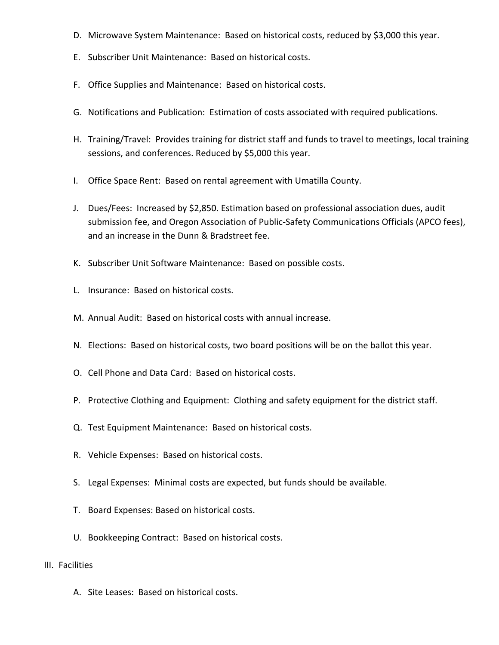- D. Microwave System Maintenance: Based on historical costs, reduced by \$3,000 this year.
- E. Subscriber Unit Maintenance: Based on historical costs.
- F. Office Supplies and Maintenance: Based on historical costs.
- G. Notifications and Publication: Estimation of costs associated with required publications.
- H. Training/Travel: Provides training for district staff and funds to travel to meetings, local training sessions, and conferences. Reduced by \$5,000 this year.
- I. Office Space Rent: Based on rental agreement with Umatilla County.
- J. Dues/Fees: Increased by \$2,850. Estimation based on professional association dues, audit submission fee, and Oregon Association of Public-Safety Communications Officials (APCO fees), and an increase in the Dunn & Bradstreet fee.
- K. Subscriber Unit Software Maintenance: Based on possible costs.
- L. Insurance: Based on historical costs.
- M. Annual Audit: Based on historical costs with annual increase.
- N. Elections: Based on historical costs, two board positions will be on the ballot this year.
- O. Cell Phone and Data Card: Based on historical costs.
- P. Protective Clothing and Equipment: Clothing and safety equipment for the district staff.
- Q. Test Equipment Maintenance: Based on historical costs.
- R. Vehicle Expenses: Based on historical costs.
- S. Legal Expenses: Minimal costs are expected, but funds should be available.
- T. Board Expenses: Based on historical costs.
- U. Bookkeeping Contract: Based on historical costs.
- III. Facilities
	- A. Site Leases: Based on historical costs.